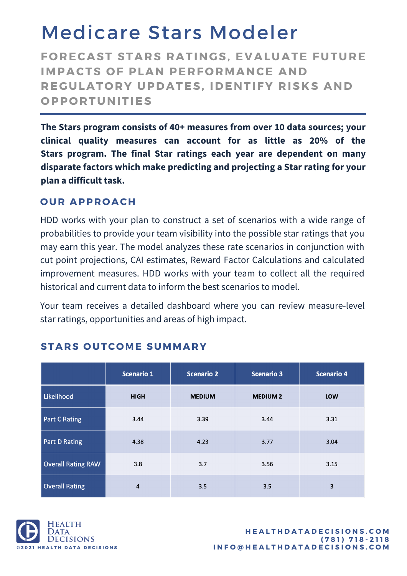## Medicare Stars Modeler

**F O RECAST STARS RATINGS, EVALUATE FUTURE IMPACTS OF PLAN PERFORMANCE AND REGULAT O RY UPDATES, IDENTIFY RISKS AND O PP O RTUNITIES**

**The Stars program consists of 40+ measures from over 10 data sources; your clinical quality measures can account for as little as 20% of the Stars program. The final Star ratings each year are dependent on many disparate factors which make predicting and projecting a Star rating for your plan a difficult task.**

#### **O UR APPR O ACH**

HDD works with your plan to construct a set of scenarios with a wide range of probabilities to provide your team visibility into the possible star ratings that you may earn this year. The model analyzes these rate scenarios in conjunction with cut point projections, CAI estimates, Reward Factor Calculations and calculated improvement measures. HDD works with your team to collect all the required historical and current data to inform the best scenarios to model.

Your team receives a detailed dashboard where you can review measure-level star ratings, opportunities and areas of high impact.

|                           | <b>Scenario 1</b> | <b>Scenario 2</b> | <b>Scenario 3</b> | <b>Scenario 4</b> |
|---------------------------|-------------------|-------------------|-------------------|-------------------|
| Likelihood                | <b>HIGH</b>       | <b>MEDIUM</b>     | <b>MEDIUM 2</b>   | <b>LOW</b>        |
| <b>Part C Rating</b>      | 3.44              | 3.39              | 3.44              | 3.31              |
| <b>Part D Rating</b>      | 4.38              | 4.23              | 3.77              | 3.04              |
| <b>Overall Rating RAW</b> | 3.8               | 3.7               | 3.56              | 3.15              |
| <b>Overall Rating</b>     | 4                 | 3.5               | 3.5               | 3                 |

#### **STARS O UTC OME SUMMARY**